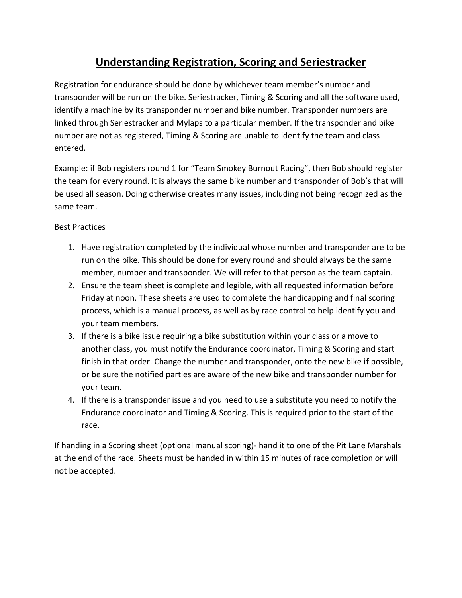## **Understanding Registration, Scoring and Seriestracker**

Registration for endurance should be done by whichever team member's number and transponder will be run on the bike. Seriestracker, Timing & Scoring and all the software used, identify a machine by its transponder number and bike number. Transponder numbers are linked through Seriestracker and Mylaps to a particular member. If the transponder and bike number are not as registered, Timing & Scoring are unable to identify the team and class entered.

Example: if Bob registers round 1 for "Team Smokey Burnout Racing", then Bob should register the team for every round. It is always the same bike number and transponder of Bob's that will be used all season. Doing otherwise creates many issues, including not being recognized as the same team.

## Best Practices

- 1. Have registration completed by the individual whose number and transponder are to be run on the bike. This should be done for every round and should always be the same member, number and transponder. We will refer to that person as the team captain.
- 2. Ensure the team sheet is complete and legible, with all requested information before Friday at noon. These sheets are used to complete the handicapping and final scoring process, which is a manual process, as well as by race control to help identify you and your team members.
- 3. If there is a bike issue requiring a bike substitution within your class or a move to another class, you must notify the Endurance coordinator, Timing & Scoring and start finish in that order. Change the number and transponder, onto the new bike if possible, or be sure the notified parties are aware of the new bike and transponder number for your team.
- 4. If there is a transponder issue and you need to use a substitute you need to notify the Endurance coordinator and Timing & Scoring. This is required prior to the start of the race.

If handing in a Scoring sheet (optional manual scoring)- hand it to one of the Pit Lane Marshals at the end of the race. Sheets must be handed in within 15 minutes of race completion or will not be accepted.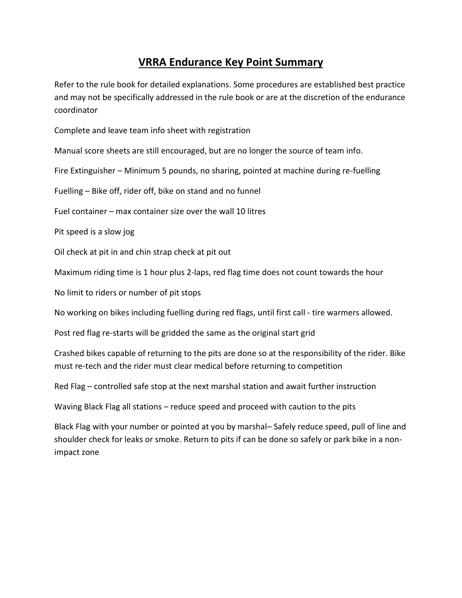## **VRRA Endurance Key Point Summary**

Refer to the rule book for detailed explanations. Some procedures are established best practice and may not be specifically addressed in the rule book or are at the discretion of the endurance coordinator

Complete and leave team info sheet with registration

Manual score sheets are still encouraged, but are no longer the source of team info.

Fire Extinguisher – Minimum 5 pounds, no sharing, pointed at machine during re-fuelling

Fuelling – Bike off, rider off, bike on stand and no funnel

Fuel container – max container size over the wall 10 litres

Pit speed is a slow jog

Oil check at pit in and chin strap check at pit out

Maximum riding time is 1 hour plus 2-laps, red flag time does not count towards the hour

No limit to riders or number of pit stops

No working on bikes including fuelling during red flags, until first call - tire warmers allowed.

Post red flag re-starts will be gridded the same as the original start grid

Crashed bikes capable of returning to the pits are done so at the responsibility of the rider. Bike must re-tech and the rider must clear medical before returning to competition

Red Flag – controlled safe stop at the next marshal station and await further instruction

Waving Black Flag all stations – reduce speed and proceed with caution to the pits

Black Flag with your number or pointed at you by marshal– Safely reduce speed, pull of line and shoulder check for leaks or smoke. Return to pits if can be done so safely or park bike in a nonimpact zone